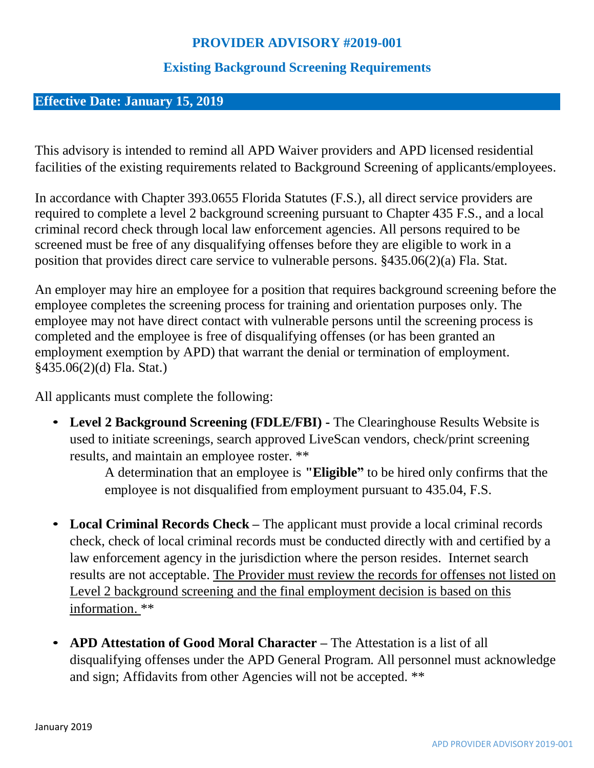## **PROVIDER ADVISORY #2019-001**

## **Existing Background Screening Requirements**

## **Effective Date: January 15, 2019**

This advisory is intended to remind all APD Waiver providers and APD licensed residential facilities of the existing requirements related to Background Screening of applicants/employees.

In accordance with Chapter 393.0655 Florida Statutes (F.S.), all direct service providers are required to complete a level 2 background screening pursuant to Chapter 435 F.S., and a local criminal record check through local law enforcement agencies. All persons required to be screened must be free of any disqualifying offenses before they are eligible to work in a position that provides direct care service to vulnerable persons. §435.06(2)(a) Fla. Stat.

An employer may hire an employee for a position that requires background screening before the employee completes the screening process for training and orientation purposes only. The employee may not have direct contact with vulnerable persons until the screening process is completed and the employee is free of disqualifying offenses (or has been granted an employment exemption by APD) that warrant the denial or termination of employment. §435.06(2)(d) Fla. Stat.)

All applicants must complete the following:

• **Level 2 Background Screening (FDLE/FBI) -** The Clearinghouse Results Website is used to initiate screenings, search approved LiveScan vendors, check/print screening results, and maintain an employee roster. \*\*

> A determination that an employee is **"Eligible"** to be hired only confirms that the employee is not disqualified from employment pursuant to 435.04, F.S.

- **Local Criminal Records Check –** The applicant must provide a local criminal records check, check of local criminal records must be conducted directly with and certified by a law enforcement agency in the jurisdiction where the person resides. Internet search results are not acceptable. The Provider must review the records for offenses not listed on Level 2 background screening and the final employment decision is based on this information. \*\*
- **APD Attestation of Good Moral Character –** The Attestation is a list of all disqualifying offenses under the APD General Program. All personnel must acknowledge and sign; Affidavits from other Agencies will not be accepted. \*\*